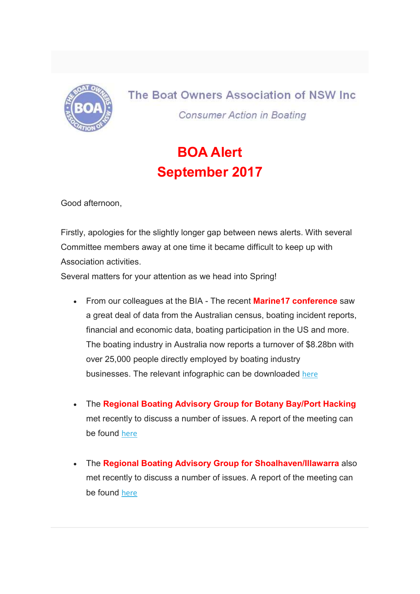

The Boat Owners Association of NSW Inc. **Consumer Action in Boating** 

## BOA Alert September 2017

Good afternoon,

Firstly, apologies for the slightly longer gap between news alerts. With several Committee members away at one time it became difficult to keep up with Association activities.

Several matters for your attention as we head into Spring!

- From our colleagues at the BIA The recent **Marine17 conference** saw a great deal of data from the Australian census, boating incident reports, financial and economic data, boating participation in the US and more. The boating industry in Australia now reports a turnover of \$8.28bn with over 25,000 people directly employed by boating industry businesses. The relevant infographic can be downloaded here
- The Regional Boating Advisory Group for Botany Bay/Port Hacking met recently to discuss a number of issues. A report of the meeting can be found here
- The Regional Boating Advisory Group for Shoalhaven/Illawarra also met recently to discuss a number of issues. A report of the meeting can be found here